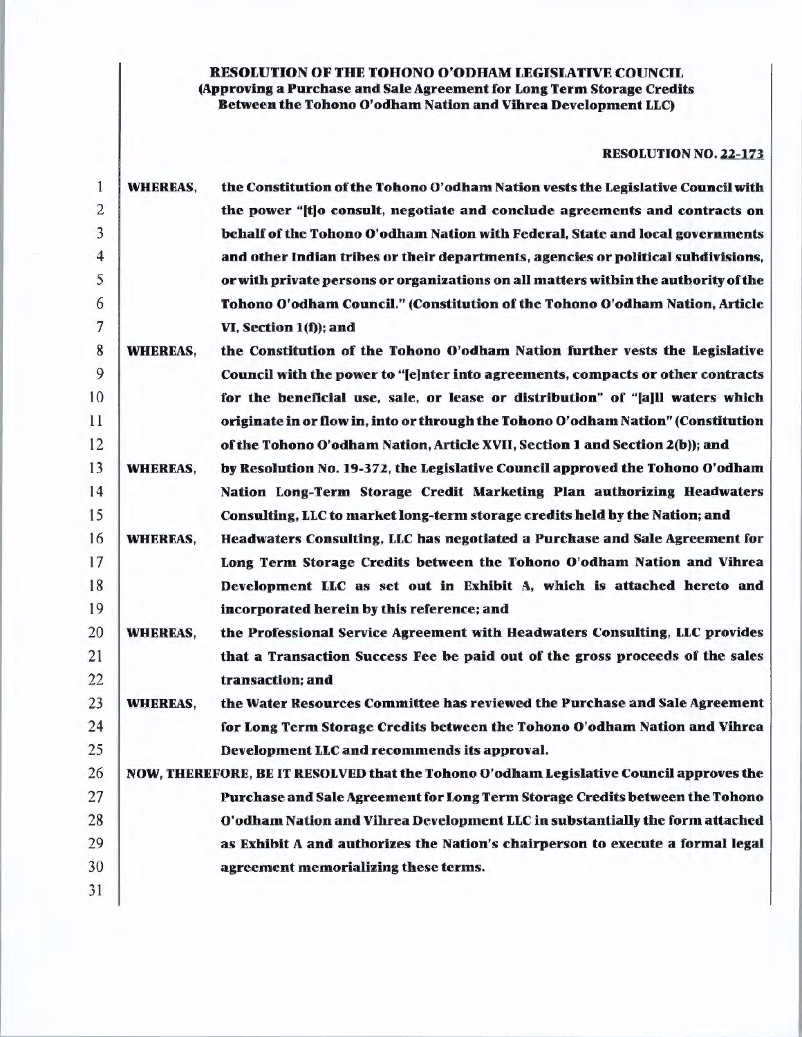# RESOLUTION OF THE TOHONO O'ODHAM LEGISLATIVE COUNCIL (Approving a Purchase and Sale Agreement for Long Term Storage Credits Between the Tohono O'odham Nation and Vihrea Development LLC)

# RESOLUTION NO. 22-173.

| 1              | <b>WHEREAS,</b> | the Constitution of the Tohono O'odham Nation vests the Legislative Council with        |
|----------------|-----------------|-----------------------------------------------------------------------------------------|
| $\overline{c}$ |                 | the power "[t]o consult, negotiate and conclude agreements and contracts on             |
| 3              |                 | behalf of the Tohono O'odham Nation with Federal, State and local governments           |
| 4              |                 | and other Indian tribes or their departments, agencies or political subdivisions,       |
| 5              |                 | or with private persons or organizations on all matters within the authority of the     |
| 6              |                 | Tohono O'odham Council." (Constitution of the Tohono O'odham Nation, Article            |
| 7              |                 | VI, Section 1(f)); and                                                                  |
| 8              | <b>WHEREAS,</b> | the Constitution of the Tohono O'odham Nation further vests the Legislative             |
| 9              |                 | Council with the power to "[e]nter into agreements, compacts or other contracts         |
| 10             |                 | for the beneficial use, sale, or lease or distribution" of "[a]ll waters which          |
| 11             |                 | originate in or flow in, into or through the Tohono O'odham Nation" (Constitution       |
| 12             |                 | of the Tohono O'odham Nation, Article XVII, Section 1 and Section 2(b)); and            |
| 13             | <b>WHEREAS,</b> | by Resolution No. 19-372, the Legislative Council approved the Tohono O'odham           |
| 14             |                 | Nation Long-Term Storage Credit Marketing Plan authorizing Headwaters                   |
| 15             |                 | Consulting, LLC to market long-term storage credits held by the Nation; and             |
| 16             | <b>WHEREAS,</b> | Headwaters Consulting, LLC has negotiated a Purchase and Sale Agreement for             |
| 17             |                 | Long Term Storage Credits between the Tohono O'odham Nation and Vihrea                  |
| 18             |                 | Development LLC as set out in Exhibit A, which is attached hereto and                   |
| 19             |                 | incorporated herein by this reference; and                                              |
| 20             | <b>WHEREAS,</b> | the Professional Service Agreement with Headwaters Consulting, LLC provides             |
| 21             |                 | that a Transaction Success Fee be paid out of the gross proceeds of the sales           |
| 22             |                 | transaction; and                                                                        |
| 23             | <b>WHEREAS,</b> | the Water Resources Committee has reviewed the Purchase and Sale Agreement              |
| 24             |                 | for Long Term Storage Credits between the Tohono O'odham Nation and Vihrea              |
| 25             |                 | Development LLC and recommends its approval.                                            |
| 26             |                 | NOW, THEREFORE, BE IT RESOLVED that the Tohono O'odham Legislative Council approves the |
| 27             |                 | Purchase and Sale Agreement for Long Term Storage Credits between the Tohono            |
| 28             |                 | O'odham Nation and Vihrea Development LLC in substantially the form attached            |
| 29             |                 | as Exhibit A and authorizes the Nation's chairperson to execute a formal legal          |
| 30             |                 | agreement memorializing these terms.                                                    |
| 31             |                 |                                                                                         |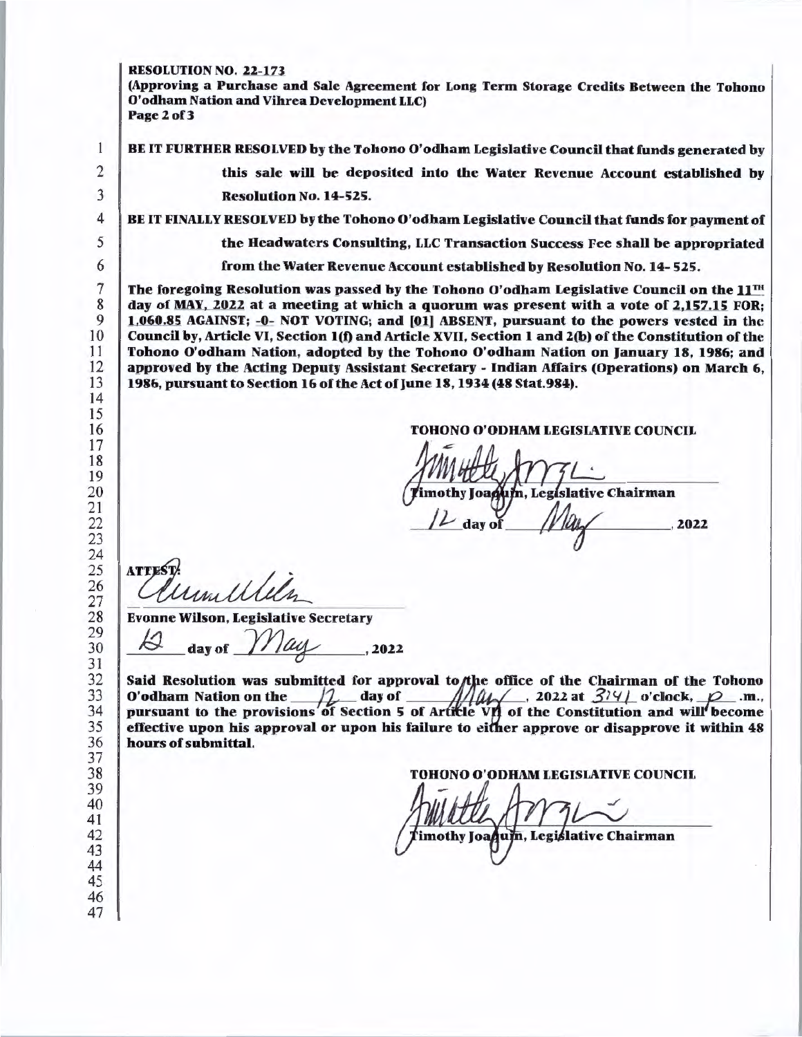### RESOLUTION NO. 22-171

(Approving a Purchase and Sale Agreement for Long Term Storage Credits Between the Tobono O'odham Nation and Vihrea Development LLC) Page 2 of 3

BE IT FURTHER RESOLVED by the Tohono O'odham Legislative Council that funds generated by

this sale will be deposited into the Water Revenue Account established by Resolution No. 14-525.

BE IT FINALLY RESOLVED by the Tohono O'odham Legislative Council that funds for payment of

the Headwaters Consulting, LLC Transaction Success Fee shall be appropriated

from the Water Revenue Account established by Resolution No. 14- 525.

The foregoing Resolution was passed by the Tohono O'odham Legislative Council on the  $11^{TH}$ day of MAY, 2022 at a meeting at which a quorum was present with a vote of 2,157.15 FOR; 1,060.85 AGAINST; -0- NOT VOTING; and [01] ABSENT, pursuant to the powers vested in the Council by, Article VI, Section l(t) and Article XVII, Section 1and2(b) of the Constitution of the Tohono O'odham Nation, adopted by the Tohono O'odham Nation on January 18, 1986; and approved by the Acting Deputy Assistant Secretary - Indian Affairs (Operations) on March 6, 1986, pursuant to Section 16 of the Act of June 18, 1934 (48 Stat.984).

TOHONO O'ODHAM LEGISLATIVE COUNCIL

um, Legíslative Chairman .2022

**ATTES** 

Evonne Wilson, Legislative Secretary<br>12 day of *May* . 2022

Said Resolution was submitted for approval to the office of the Chairman of the Tohono O'odham Nation on the  $\frac{1}{2}$  day of  $\frac{1}{2}$   $\frac{1}{4}$  . 2022 at  $\frac{3}{4}$  o'clock,  $\frac{1}{2}$  .m., Said Resolution was submitted for approval to the office of the Chairman of the Tohono O'odham Nation on the  $\frac{1}{2}$  day of  $\frac{1}{2}$   $\frac{1}{2}$  ..., 2022 at  $\frac{3}{4}$  o'clock,  $\rho$  ..... pursuant to the provisions of Section 5 of Article VII of the Constitution and will become effective upon his approval or upon his failure to either approve or disapprove it within 48 hours of submittal.

**D O'ODHAM LEGISLATIVE COUNCIL** 

imothy Joa**qum**, Legislative Chairman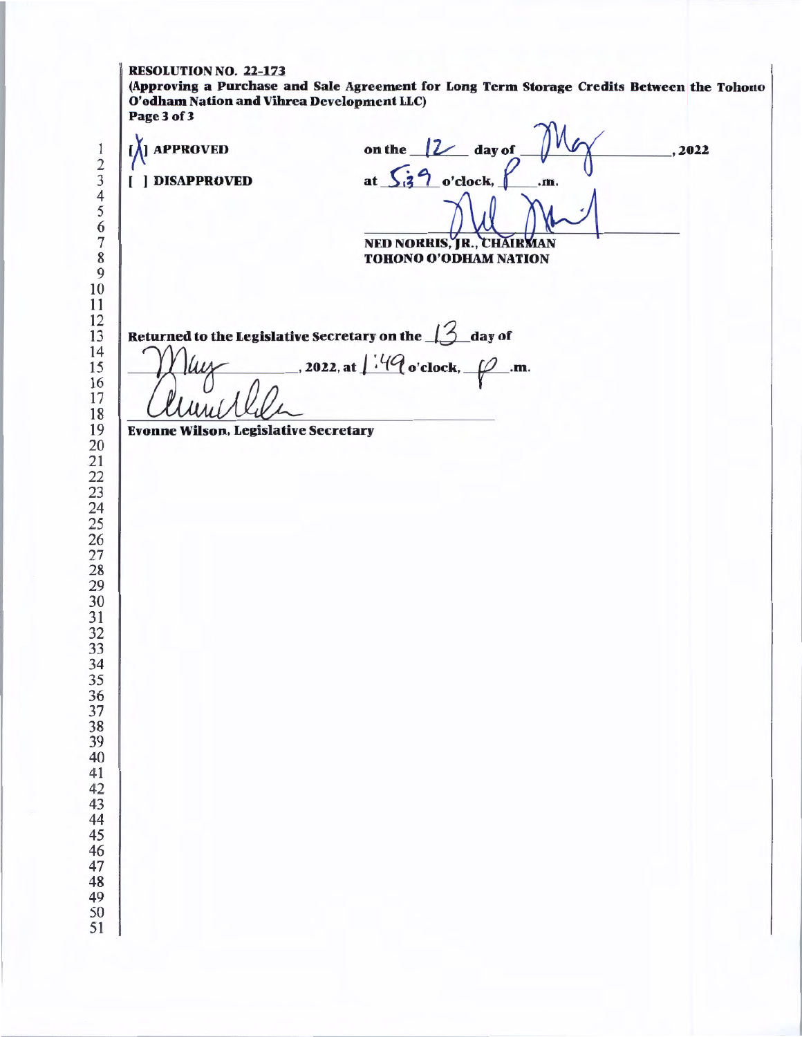RESOLUTION NO. 22-173 (Approving a Purchase and Sale Agreement for Long Term Storage Credits Between the Tohono O'odham Nation and Vihrea Development LLC) Page3of3 [A] APPROVED ( ] DISAPPROVED on the  $/2$  day of at  $\sqrt{3}$  o'clock,  $\sqrt{m}$ . NED NORRIS, JR., CHAIRMAN<br>TOHONO O'ODHAM NATION Returned to the Legislative Secretary on the  $\beta$  day of  $1.2022$ , at  $1.49$  o'clock,  $-$ .m. Evonne Wilson, Legislative Secretary ,2022